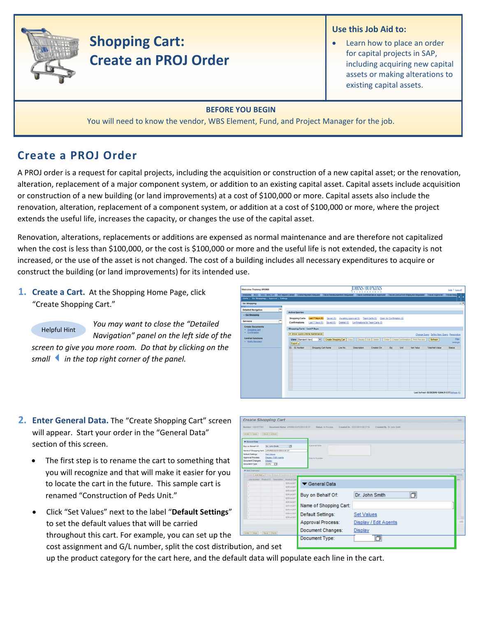

# **Shopping Cart: Create an PROJ Order**

## **Use this Job Aid to:**

Learn how to place an order for capital projects in SAP, including acquiring new capital assets or making alterations to existing capital assets.

### **BEFORE YOU BEGIN**

You will need to know the vendor, WBS Element, Fund, and Project Manager for the job.

# **Create a PROJ Order**

A PROJ order is a request for capital projects, including the acquisition or construction of a new capital asset; or the renovation, alteration, replacement of a major component system, or addition to an existing capital asset. Capital assets include acquisition or construction of a new building (or land improvements) at a cost of \$100,000 or more. Capital assets also include the renovation, alteration, replacement of a component system, or addition at a cost of \$100,000 or more, where the project extends the useful life, increases the capacity, or changes the use of the capital asset.

Renovation, alterations, replacements or additions are expensed as normal maintenance and are therefore not capitalized when the cost is less than \$100,000, or the cost is \$100,000 or more and the useful life is not extended, the capacity is not increased, or the use of the asset is not changed. The cost of a building includes all necessary expenditures to acquire or construct the building (or land improvements) for its intended use.

**1. Create a Cart.** At the Shopping Home Page, click "Create Shopping Cart."

*e th Navigation" panel on the left side of e th screen to give you more room. Do that by clicking on You may want to close the "Detailed smallin the top right corner of the panel.* Helpful Hint

| Welcome Training UPUR60                                                                                                                                                                                                                                                      |                                                                                                                                                              |                                                                                |                       |                    | <b>OHNS HOPKINS</b><br><b>XXTITETIOXX</b>                                                                                                                                 |                           |      |                  |                                                                           | Help   Log.off     |
|------------------------------------------------------------------------------------------------------------------------------------------------------------------------------------------------------------------------------------------------------------------------------|--------------------------------------------------------------------------------------------------------------------------------------------------------------|--------------------------------------------------------------------------------|-----------------------|--------------------|---------------------------------------------------------------------------------------------------------------------------------------------------------------------------|---------------------------|------|------------------|---------------------------------------------------------------------------|--------------------|
| Welcome ECC ECC - MAC OS BW Report Center Online Payment Request Travel Reimbursement Requester Travel Administrative Approver Travel Concurrent Employed Requester Travel Approver Travel Approver   Travel Approver   Travel<br>Alerts   Go Shopping   Approval   Settings |                                                                                                                                                              |                                                                                |                       |                    |                                                                                                                                                                           |                           |      |                  |                                                                           |                    |
| Go Shopping<br><b>STATI</b><br>$\equiv$<br><b>Detailed Navigation</b><br>- Go Shopping<br><b>Services</b><br><b>Create Documents</b><br>Shopping Cart<br>- Confirmation<br><b>Central Functions</b>                                                                          | <b>Active Queries</b><br><b>Shopping Carts</b><br>Confirmations<br>Shopping Carts - Last 7 Days<br>> Show Quick Criteria Maintenance<br>View [Standard View] | Last 7 Days (0)<br>Saved (0)<br>Last 7 Days (0)<br>Saved (0)<br>$\blacksquare$ | Awalting Approval (0) |                    | Team Carts (0)<br>Deleted (0) Confirmations for Team Carts (0)<br>Create Shopping Cart   Copy     Display   Edit   Delete     Order   Create Confirmation   Print Preview | Open for Confirmation (0) |      |                  | Change Query Define New Query Personalize<br>Refresh                      | Fiter              |
| <b>Notify Recipient</b>                                                                                                                                                                                                                                                      | Export a<br><b>RR</b> SC Number                                                                                                                              | Shopping Cart Name                                                             | Line No.              | <b>Description</b> | Created On                                                                                                                                                                | Oty                       | Unit | <b>Net Value</b> | <b>Total Net Value</b><br>Last Refresh 03/30/2010 12:04:31 EST Refresh FG | Settings<br>Status |

- **2. Enter General Data.** The "Create Shopping Cart" screen will appear. Start your order in the "General Data" section of this screen.
	- The first step is to rename the cart to something that you will recognize and that will make it easier for you to locate the cart in the future. This sample cart is renamed "Construction of Peds Unit."
	- cost assignment and G/L number, split the cost distribution, and set • Click "Set Values" next to the label "**Default Settings**" to set the default values that will be carried throughout this cart. For example, you can set up the

Create Shopping Cart General Data 同 Buy on Behalf Of: Dr. John Smith Name of Shopping Cart: Default Settings: **Set Values** Approval Process: Display / Edit Agents Document Changes: Display Document Type: 回

up the product category for the cart here, and the default data will populate each line in the cart.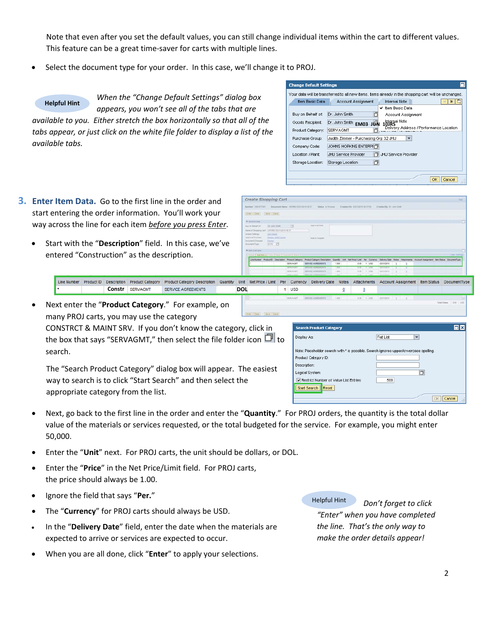Note that even after you set the default values, you can still change individual items within the cart to different values. This feature can be a great time‐saver for carts with multiple lines.

Select the document type for your order. In this case, we'll change it to PROJ.

### **Helpful Hint**

*When the "Change Default Settings" dialog box appears, you won't see all of the tabs that are available to you. Either stretch the box horizontally so that all of the tabs appear, or just click on the white file folder to display a list of the available tabs.*

- **3. Enter Item Data.** Go to the first line in the order and start entering the order information. You'll work your way across the line for each item *before you press Enter*.
	- Start with the "**Description**" field. In this case, we've entered "Construction" as the description.

| <b>Change Default Settings</b>                                                                        |
|-------------------------------------------------------------------------------------------------------|
| Your data will be transferred to all new items, Items already in the shopping cart will be unchanged. |
| <b>Internal Note</b><br>Item Basic Data<br>Account Assignment                                         |
| ✔ Item Basic Data                                                                                     |
| Dr. John Smith<br>Buy on Behalf of:<br>n<br>Account Assignment                                        |
| Internal Note<br>Goods Recipient:<br>Dr. John Smith<br>EM03 JUN                                       |
| Delivery Address / Performance Location<br>SERVAGMT<br>Product Category:                              |
| Judith Zimmer - Purchasing Grp 32 JHU<br>Purchase Group:<br>┳                                         |
| JOHNS HOPKINS ENTERPHT<br>Company Code:                                                               |
| <b>JHLI Service Provider</b><br>JHU Service Provider<br>Location / Plant:<br>门                        |
| 门<br>Storage Location:<br>Storage Location                                                            |
|                                                                                                       |
| ОК<br>Cancel                                                                                          |

|                                                                                                                                                     | Create Shopping Cart                       |                                      |                                                    |                  |            |                                          |           |                 |                           |   |                                                                             |             |
|-----------------------------------------------------------------------------------------------------------------------------------------------------|--------------------------------------------|--------------------------------------|----------------------------------------------------|------------------|------------|------------------------------------------|-----------|-----------------|---------------------------|---|-----------------------------------------------------------------------------|-------------|
| Marmiler 1001072201                                                                                                                                 |                                            | Document Barne UPURER ESQUOIST DE IT | Hafan in Frencesa                                  |                  |            | Created On 03310319 263719               |           |                 | Created By Dr. John Smith |   |                                                                             |             |
| Driver Close   Dave   Chera                                                                                                                         |                                            |                                      |                                                    |                  |            |                                          |           |                 |                           |   |                                                                             |             |
| T General Date                                                                                                                                      |                                            |                                      |                                                    |                  |            |                                          |           |                 |                           |   |                                                                             | c           |
| Buy an Behalf Of                                                                                                                                    | Dr. John Smith                             | 73                                   | Appreciat Toyle                                    |                  |            |                                          |           |                 |                           |   |                                                                             |             |
| Name of Shopping Cart.                                                                                                                              | LIPURED ESONGO 10 09:37                    |                                      |                                                    |                  |            |                                          |           |                 |                           |   |                                                                             |             |
|                                                                                                                                                     | <b>SALVations</b>                          |                                      |                                                    |                  |            |                                          |           |                 |                           |   |                                                                             |             |
|                                                                                                                                                     |                                            |                                      |                                                    |                  |            |                                          |           |                 |                           |   |                                                                             |             |
|                                                                                                                                                     | <b>Dazes / EZLAgeria</b><br><b>Ziszter</b> |                                      | <b>Reite In Stockher</b>                           |                  |            |                                          |           |                 |                           |   |                                                                             |             |
|                                                                                                                                                     | <b>IDO</b> O                               |                                      |                                                    |                  |            |                                          |           |                 |                           |   |                                                                             |             |
|                                                                                                                                                     |                                            |                                      |                                                    |                  |            |                                          |           |                 |                           |   |                                                                             |             |
|                                                                                                                                                     |                                            |                                      |                                                    |                  | <b>GME</b> | <b>Nat Price / Link - Par : Currency</b> |           |                 |                           |   |                                                                             | Time Select |
| Line Number<br>٠                                                                                                                                    | Product D Description                      | <b>Product Category</b><br>SERVAGNT  | Product Category Description<br>SERVICE AGREEMENTS | Quartzy<br>1,000 |            | 0.00                                     |           | $t$ and         | 03/31/2010                | ٠ | Delivery Date Notes Attachments Account Assignment Bert Status DocumentType |             |
|                                                                                                                                                     |                                            | <b>SERVATUR</b>                      | <b>MENTOS ENGINEERINGS</b>                         | <b>TIO</b>       |            | <b>ETO</b>                               |           | <b>TAX WEEK</b> | <b>ADAINED</b>            |   |                                                                             |             |
| Dataut Samiga<br>Approval Process.<br>Document Changes:<br>Document Type:<br>* fen Dyervine<br>Sinkin E.Add bow's Control Finance Countries E.Comm. |                                            | <b>SERVAGNT</b>                      | SERVEY AGREEMENTS                                  | 1,618            |            | 3.33                                     | $-11.122$ |                 | 23/31/2010                |   |                                                                             |             |

**Search Product Category** 

Restrict Number of Value List Entries

Display As:

Product Category ID: Description: Logical System

Start Search | Reset

Line Number Product ID Description Product Category Product Category Description Quantity **Constr SERVAGMT SERVICE AGREEMENTS DOL 1 05D** 

• Next enter the "**Product Category**." For example, on many PROJ carts, you may use the category CONSTRCT & MAINT SRV. If you don't know the category, click in the box that says "SERVAGMT," then select the file folder icon  $\Box$  to search.

The "Search Product Category" dialog box will appear. The easiest way to search is to click "Start Search" and then select the appropriate category from the list.

- Next, go back to the first line in the order and enter the "**Quantity**." For PROJ orders, the quantity is the total dollar value of the materials or services requested, or the total budgeted for the service. For example, you might enter 50,000.
- Enter the "**Unit**" next. For PROJ carts, the unit should be dollars, or DOL.
- Enter the "**Price**" in the Net Price/Limit field. For PROJ carts, the price should always be 1.00.
- Ignore the field that says "**Per.**"
- The "**Currency**" for PROJ carts should always be USD.
- In the "**Delivery Date**" field, enter the date when the materials are expected to arrive or services are expected to occur.
- When you are all done, click "**Enter**" to apply your selections.

Helpful Hint *Don't forget to click "Enter" when you have completed the line. That's the only way to make the order details appear!*

**olx** 

 $OK$  Cancel

 $\vert \cdot \vert$ 

Ó

**Flat List** 

 $500$ 

Note: Placeholder search with \* is possible. Search ignores upper/lowercase spelling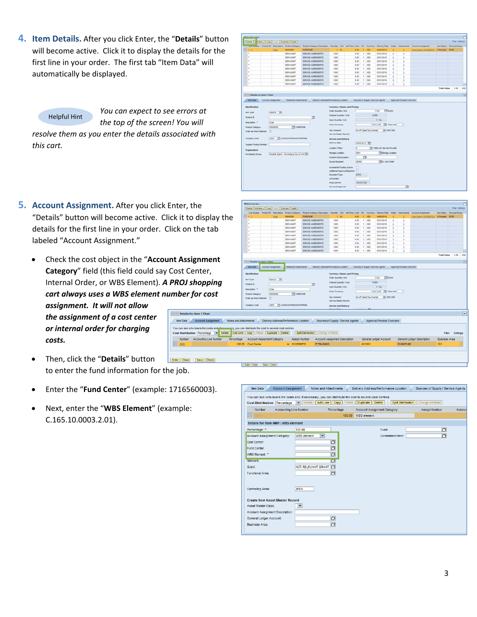**4. Item Details.** After you click Enter, the "**Details**" button will become active. Click it to display the details for the first line in your order. The first tab "Item Data" will automatically be displayed.

#### Helpful Hint

*You can expect to see errors at the top of the screen! You will*

*resolve them as you enter the details associated with this cart.*

|                                                                                                                                        |                       |          | Details   A od tem a   Copy   Fasts   Duplicate   Delete | Product Category Description Guantity Unit Tiet Price / Limit Per Currency Delivery Date Notes. Attachments |                                                                                            |      |                                                   |            |                                    |                                        |   |                           | <b>Account Assignment</b> | ten Status DocumentType |           |  |
|----------------------------------------------------------------------------------------------------------------------------------------|-----------------------|----------|----------------------------------------------------------|-------------------------------------------------------------------------------------------------------------|--------------------------------------------------------------------------------------------|------|---------------------------------------------------|------------|------------------------------------|----------------------------------------|---|---------------------------|---------------------------|-------------------------|-----------|--|
| $\bullet$                                                                                                                              |                       | OH       | 56000000                                                 | <b>FURNITURE</b>                                                                                            |                                                                                            | 1 EA | 0.00                                              |            | 1.050                              | 04/05/2010                             |   |                           | Cost Center (1010289732)  | <b>M Process ECPO</b>   |           |  |
| ٠                                                                                                                                      |                       |          | SERVAQUIT                                                | SERVICE AGREEMENTS                                                                                          | 1,000                                                                                      |      | 0.00                                              |            | $t$ $\perp$ $050$                  | 03/31/2018                             |   | t                         |                           |                         |           |  |
| ٠                                                                                                                                      |                       |          | <b>SERVAGM?</b>                                          | SERVICE AGREEMENTS                                                                                          | 1,000                                                                                      |      | 0.00                                              |            | 1.150                              | 53/31/2018                             | ٠ | t                         |                           |                         |           |  |
|                                                                                                                                        |                       |          | SERVAGMT                                                 | SERVICE AGREEMENTS                                                                                          | 1.000                                                                                      |      | 0.00                                              |            | $1$ usp.                           | 03/31/2010                             | s | î                         |                           |                         |           |  |
| ٠                                                                                                                                      |                       |          | <b>SERVAGNT</b>                                          | SERVICE AGREEMENTS                                                                                          | 1.000                                                                                      |      | 0.00                                              |            | $t - 1/50$                         | 03/31/2010                             | ٠ | ×                         |                           |                         |           |  |
| $\sim$                                                                                                                                 |                       |          | SERVAGNT                                                 | SERVICE AGREEMENTS                                                                                          | 1,000                                                                                      |      | 0.00                                              |            | $1 - 1/50$                         | 03/31/2010                             | ٠ | ٠                         |                           |                         |           |  |
| ٠                                                                                                                                      |                       |          | <b>SERVAGNY</b>                                          | SERVICE AGREEMENTS                                                                                          | 1,000                                                                                      |      | 0.00                                              |            | 1.1050                             | 03/31/2010                             | ٥ | ×                         |                           |                         |           |  |
|                                                                                                                                        |                       |          | SERVAGNT                                                 | SERVICE AGREEMENTS                                                                                          | 1.000                                                                                      |      | 0.00                                              |            | 1.150                              | 03/31/2018                             |   | ٠                         |                           |                         |           |  |
|                                                                                                                                        |                       |          | SERVAGUIT                                                | <b>SERVICE AGREEMENTS</b>                                                                                   | 1.000                                                                                      |      | 0.00                                              |            | $T$ $150$                          | 03/31/2010                             | ٠ | r                         |                           |                         |           |  |
| ٠                                                                                                                                      |                       |          | SERVAGUIT                                                | SERVICE AGREEMENTS                                                                                          | 1,000                                                                                      |      | 0.00                                              |            | $1 - 1/50$                         | 03/31/2010                             | ٠ | ÷                         |                           |                         |           |  |
|                                                                                                                                        |                       |          |                                                          |                                                                                                             |                                                                                            |      |                                                   |            |                                    |                                        |   |                           |                           | <b>Total Value</b>      | 0.00 1050 |  |
|                                                                                                                                        |                       |          |                                                          |                                                                                                             |                                                                                            |      |                                                   |            |                                    |                                        |   |                           |                           |                         |           |  |
| 1 1 Details for item 1 Chair                                                                                                           |                       |          |                                                          |                                                                                                             |                                                                                            |      |                                                   |            |                                    |                                        |   |                           |                           |                         |           |  |
| <b>Barri Dalla</b>                                                                                                                     | Account Assignment    |          | Notes and Attachments                                    | Delivery Address/Performance Location                                                                       |                                                                                            |      |                                                   |            | Sources of Supply / Service Agents |                                        |   | Approval Process Overview |                           |                         |           |  |
| <b>Product ID</b><br>Dealription <sup>e</sup>                                                                                          | Char                  |          |                                                          | ъ                                                                                                           | Ordered Quantity / Unit.<br>Open Quantity / Unit                                           |      |                                                   |            | 6.008                              | 1.54                                   |   |                           |                           |                         |           |  |
|                                                                                                                                        | $\Box$<br><b>JHEN</b> | 58000000 | <b>PE nuseaming</b><br>CI JOHNS HOPKINS ENTERPRISE       |                                                                                                             | <b>Price / Currency:</b><br>Tax / Amount<br>Service Master Record:<br>Service and Delivery |      |                                                   |            | G-A/P Sales Tax, Exempt            | 9.00 USD 17 Price Unit<br>$= 0.001050$ |   | $\mathbf{H}$              |                           |                         |           |  |
|                                                                                                                                        |                       |          |                                                          |                                                                                                             | Delivery Date:                                                                             |      |                                                   |            | 04050310 10                        |                                        |   |                           |                           |                         |           |  |
|                                                                                                                                        |                       |          |                                                          |                                                                                                             | Location / Plant                                                                           |      | 匤                                                 |            |                                    | [7] 1099-JHU Service Provider          |   |                           |                           |                         |           |  |
|                                                                                                                                        |                       |          |                                                          |                                                                                                             | Storage Location:                                                                          |      | 0001                                              |            |                                    | <b>CEltorage Location</b>              |   |                           |                           |                         |           |  |
|                                                                                                                                        |                       |          | Paulette Spann - Purchasing Orp 42 JHU +                 |                                                                                                             | <b>Nothern Keyl, academ</b>                                                                |      |                                                   | b.         |                                    |                                        |   |                           |                           |                         |           |  |
|                                                                                                                                        |                       |          |                                                          |                                                                                                             | <b>Goods Recipient</b>                                                                     |      | 00000                                             |            |                                    | <b>TEX: John Sven</b>                  |   |                           |                           |                         |           |  |
| Product Category:<br>Order as Direct Material:<br>Corgany Code:<br>Supplier Product Number<br>Organization<br><b>Purchasing Group:</b> |                       |          |                                                          |                                                                                                             | Incremental Punding Active:<br>Document Type:<br>Lot Number:<br>Shep Cart No:              |      | o<br>Additional Approval Required:<br><b>ŁCPO</b> | 1001077291 |                                    |                                        |   |                           |                           |                         |           |  |

- **5. Account Assignment.** After you click Enter, the "Details" button will become active. Click details for the first line in your order. Click labeled "Account Assignment."
	- Check the cost object in the "Account Category" field (this field could say Cost Internal Order, or WBS Element). *A PR*  $c$ *cart always uses a WBS element numi assignment. It will not allow* 国 *the assignment of a cost center*  $\begin{array}{c}\n\hline\n\end{array}$  You *or internal order for charging costs.* H
	- Then, click the "**Details**" button to enter the fund information for the job.
	- Enter the "**Fund Center**" (example: 1716560003).
	- Next, enter the "**WBS Element**" (example: C.165.10.0003.2.01).

|                                                                                                                                                                                                                              |                                      | Chat                                  | 10000000                           | <b>FURNITURE</b>                  | t EA                                 | $0.00 -$ | 1.050                           | 04/05/2010                         |                           | Cost Carrer (1010289732)   | <b>In Process ECPO</b> |                      |            |
|------------------------------------------------------------------------------------------------------------------------------------------------------------------------------------------------------------------------------|--------------------------------------|---------------------------------------|------------------------------------|-----------------------------------|--------------------------------------|----------|---------------------------------|------------------------------------|---------------------------|----------------------------|------------------------|----------------------|------------|
| it to display the                                                                                                                                                                                                            |                                      |                                       | SERVAGMT                           | SERVICE AGREEMENTS                | 1.000                                | 0.05     | 1.050                           | 03/31/2010                         |                           |                            |                        |                      |            |
|                                                                                                                                                                                                                              |                                      |                                       | SERVAGM?                           | SERVICE AGREEMENTS                | 1,000                                | 0.00     | $1 - 1055$                      | 63/31/2018                         |                           |                            |                        |                      |            |
| k on the tab                                                                                                                                                                                                                 |                                      |                                       | SERVAGNT                           | SERVICE AGREEMENTS                | 1,000                                | 0.00     | $1$ $150$                       | 03/31/2010                         |                           |                            |                        |                      |            |
|                                                                                                                                                                                                                              |                                      |                                       | <b>SERVAGN?</b>                    | <b>SERVICE AGREEMENTS</b>         | 1,000                                | 0.00     | 1 150                           | 03/31/2010                         |                           |                            |                        |                      |            |
|                                                                                                                                                                                                                              |                                      |                                       | SERVAGNT                           | SERVICE AGREEMENTS                | 1,000                                | 0.00     | $1 - 1/20$                      | 03/31/2010                         |                           |                            |                        |                      |            |
|                                                                                                                                                                                                                              |                                      |                                       | <b>SERVAGNT</b>                    | SERVICE AGREEMENTS                | 1,000                                | 0.00     | 1.055                           | 03/31/2010                         |                           |                            |                        |                      |            |
|                                                                                                                                                                                                                              |                                      |                                       | SERVAGN?                           | SERVICE AGREEMENTS                | 1.000                                | 0.00     | 1 150                           | 03/21/2010                         |                           |                            |                        |                      |            |
|                                                                                                                                                                                                                              | ٠                                    |                                       | SERVAGN?                           | SERVICE AGREEMENTS                | 1.000                                | 0.00     | 1 150                           | 03/31/2010                         |                           |                            |                        |                      |            |
|                                                                                                                                                                                                                              |                                      |                                       | SERVADNT                           | SERVICE AGREEMENTS                | 1,000                                |          | $0.00$ 1 $1.050$                | 03/31/2010                         |                           |                            |                        | Total Value 0.00 USD |            |
| <b>Assignment</b>                                                                                                                                                                                                            | (       Details for item 4 Chair     |                                       |                                    |                                   |                                      |          |                                 |                                    |                           |                            |                        |                      | ×          |
|                                                                                                                                                                                                                              | <b>Bank Data</b>                     | <b>Account Assignment</b>             | Notes and Attachments              |                                   | Delivery Address Ferturnance Locaton |          |                                 | Sources of Supply / Service Agents | Approval Process Overview |                            |                        |                      |            |
| st Center,                                                                                                                                                                                                                   | <b>Identification</b>                |                                       |                                    |                                   | Currency, Values, and Pricing        |          |                                 |                                    |                           |                            |                        |                      |            |
|                                                                                                                                                                                                                              |                                      |                                       |                                    |                                   | Criter Quantity / Unit               |          |                                 | <b>ITT</b> EACH<br>$1$ EA          |                           |                            |                        |                      |            |
|                                                                                                                                                                                                                              |                                      |                                       |                                    |                                   |                                      |          |                                 |                                    |                           |                            |                        |                      |            |
|                                                                                                                                                                                                                              | <b>Jam Type:</b>                     | Material (w)                          |                                    |                                   | <b>Drdened Quantity / Unit</b>       |          |                                 | 1000                               |                           |                            |                        |                      |            |
|                                                                                                                                                                                                                              | <b>Product D</b>                     |                                       |                                    | o                                 |                                      |          |                                 |                                    |                           |                            |                        |                      |            |
|                                                                                                                                                                                                                              | Deacription: 11                      | Chair                                 |                                    |                                   | Open Quantity / Unit:                |          |                                 | 1.84                               |                           |                            |                        |                      |            |
|                                                                                                                                                                                                                              | <b>Product Category</b>              | 58000000                              | <b>PSI</b> Furtesmane              |                                   | <b>Price / Currency:</b>             |          |                                 | 8 00 USD TV Price Use              | $\left  \cdot \right $    |                            |                        |                      |            |
|                                                                                                                                                                                                                              | <b>Order as Direct Material:</b>     | n                                     |                                    |                                   | Tex / Amount                         |          | <b>G-A/P Sales Tax. Exercit</b> | $= 0.00100$                        |                           |                            |                        |                      |            |
|                                                                                                                                                                                                                              |                                      |                                       |                                    |                                   | Service Waster Record                |          |                                 |                                    |                           |                            |                        |                      |            |
|                                                                                                                                                                                                                              | Company Code:                        | pen                                   | <b>CE JOHNS FORGIVS ENTERPRISE</b> |                                   | Service and Delivery                 |          |                                 |                                    |                           |                            |                        |                      |            |
|                                                                                                                                                                                                                              |                                      |                                       |                                    |                                   |                                      |          |                                 |                                    |                           |                            |                        |                      |            |
| <b>Details for item 1 Chair</b>                                                                                                                                                                                              |                                      |                                       |                                    |                                   |                                      |          |                                 |                                    |                           |                            |                        |                      | $\sqrt{1}$ |
| <b>Account Assignment</b>                                                                                                                                                                                                    | Notes and Attachments                | Delivery Address/Performance Location |                                    |                                   | Sources of Supply / Service Agents   |          |                                 | Approval Process Overview          |                           |                            |                        |                      |            |
|                                                                                                                                                                                                                              |                                      |                                       |                                    |                                   |                                      |          |                                 |                                    |                           |                            |                        |                      |            |
|                                                                                                                                                                                                                              |                                      |                                       |                                    |                                   |                                      |          |                                 |                                    |                           |                            |                        |                      |            |
| v Details                                                                                                                                                                                                                    | Add Line Copy Paste Duplicate Delete |                                       |                                    | Splt Distribution Change All tems |                                      |          |                                 |                                    |                           |                            | Fiter                  | Settings             |            |
| <i><b>OJ shopping</b></i><br>ber for cost<br>lem Data<br>can see who bears the costs and if announcery, you can distribute the cost to several cost centres<br>t Distribution Percentage<br>Accounting Line Number<br>Number | Percentage                           | Account Assignment Category           | Assign Number                      |                                   | Account Assignment Description       |          |                                 | General Ledger Account             |                           | General Ledger Description | Business Area          |                      |            |

sis | Add tema | Copy | Frank | Daplicate | Delete |

| <b>Cost Distribution Percentage</b>    |                               | Add Line<br><b>Details</b><br>$\overline{\phantom{a}}$ | Copy   Paste | You can see who bears the costs and, if necessary, you can distribute the cost to several cost centres<br><b>Duplicate</b><br><b>Delete</b> | <b>Split Distribution</b> | Change All Items     |        |
|----------------------------------------|-------------------------------|--------------------------------------------------------|--------------|---------------------------------------------------------------------------------------------------------------------------------------------|---------------------------|----------------------|--------|
| <b>Number</b>                          | <b>Accounting Line Number</b> |                                                        | Percentage   | <b>Account Assignment Category</b>                                                                                                          |                           | <b>Assign Number</b> | Accour |
| 0001                                   |                               |                                                        | 100.00       | <b>WRS</b> element                                                                                                                          |                           |                      |        |
| Details for Item 0001 : WBS element    |                               |                                                        |              |                                                                                                                                             |                           |                      |        |
| Percentage: *                          |                               | 100.00                                                 |              | Fund:                                                                                                                                       |                           | n                    |        |
| <b>Account Assignment Category:</b>    |                               | $\overline{\phantom{0}}$<br><b>WBS</b> element         |              |                                                                                                                                             | Commitment Item:          | b                    |        |
| Cost Center:                           |                               |                                                        | o            |                                                                                                                                             |                           |                      |        |
| Fund Center:                           |                               |                                                        | o            |                                                                                                                                             |                           |                      |        |
| WRS Flement: *                         |                               |                                                        | b            |                                                                                                                                             |                           |                      |        |
| Network:                               |                               |                                                        | <b>D</b>     |                                                                                                                                             |                           |                      |        |
| Grant:                                 |                               | NOT-RELEVANT GRANT                                     | n            |                                                                                                                                             |                           |                      |        |
| <b>Functional Area:</b>                |                               |                                                        | o            |                                                                                                                                             |                           |                      |        |
|                                        |                               |                                                        |              |                                                                                                                                             |                           |                      |        |
| Controlling Area:                      |                               | <b>JHEN</b>                                            |              |                                                                                                                                             |                           |                      |        |
|                                        |                               |                                                        |              |                                                                                                                                             |                           |                      |        |
| <b>Create New Asset Master Record</b>  |                               |                                                        |              |                                                                                                                                             |                           |                      |        |
| Asset Master Class:                    |                               | $\overline{\phantom{a}}$                               |              |                                                                                                                                             |                           |                      |        |
| <b>Account Assignment Description:</b> |                               |                                                        |              |                                                                                                                                             |                           |                      |        |
| General Ledger Account:                |                               |                                                        | b            |                                                                                                                                             |                           |                      |        |
| <b>Business Area:</b>                  |                               |                                                        | b            |                                                                                                                                             |                           |                      |        |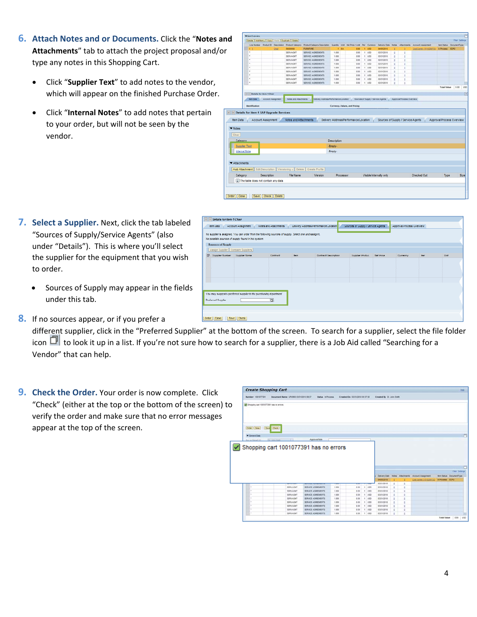- **6. Attach Notes and or Documents.** Click the "**Notes and Attachments**" tab to attach the project proposal and/or type any notes in this Shopping Cart.
	- Click "**Supplier Text**" to add notes to the vendor, which will appear on the finished Purchase Order.
	- Click "**Internal Notes**" to add notes that pertain to your order, but will not be seen by the vendor.

|                                                         |                                                                  |                           |      |                                                     |                                                                            |                    |             |                                                                        |            |                                    |    |                           |                           |                           |                                | 門    |
|---------------------------------------------------------|------------------------------------------------------------------|---------------------------|------|-----------------------------------------------------|----------------------------------------------------------------------------|--------------------|-------------|------------------------------------------------------------------------|------------|------------------------------------|----|---------------------------|---------------------------|---------------------------|--------------------------------|------|
| nd                                                      | Details   Add from a   Copy   Firsts   Duplicate   Delete        |                           |      |                                                     |                                                                            |                    |             |                                                                        |            |                                    |    |                           |                           |                           | Film Satiron                   |      |
|                                                         |                                                                  |                           |      | Line Number Product El Description Product Category | Product Category Description Guardty Unit Net Price / Link Per Currency    |                    |             |                                                                        |            | Delivery Date                      |    | Notes Attachments         | <b>Account Assignment</b> |                           | <b>Ben Status DocumentType</b> |      |
|                                                         | ٠                                                                |                           | Chat | 58000000                                            | <b>FURNITURE</b>                                                           |                    | <b>t</b> EA | 0.00                                                                   | 1.050      | 04/05/2018                         |    |                           | Cost Carrier (1010203722) | <b>M Process ECPO</b>     |                                |      |
|                                                         | $\blacksquare$                                                   |                           |      | SERVAGUST                                           | SERVICE AGREEMENTS                                                         | 1.000              |             | 0.00                                                                   | $1 - 050$  | 03/31/2010                         | ٠  | t                         |                           |                           |                                |      |
|                                                         | ×                                                                |                           |      | SERVAGM?                                            | SERVICE AGREEMENTS                                                         | 1,000              |             | 3.00                                                                   | $1 - 1055$ | 53/31/2018                         | s  |                           |                           |                           |                                |      |
|                                                         | ٠                                                                |                           |      | SERVAGNT                                            | SERVICE AGREEMENTS                                                         | 1,000              |             | 0.00                                                                   | $1$ $150$  | 03/31/2010                         | ö  |                           |                           |                           |                                |      |
|                                                         | ٠                                                                |                           |      | <b>SERVAGNY</b>                                     | SERVICE AGREEMENTS                                                         | 1,000              |             | 0.00                                                                   | 1 150      | 03/31/2010                         | s  | ٠                         |                           |                           |                                |      |
|                                                         | ٠                                                                |                           |      | SERVAGNT                                            | SERVICE AGREEMENTS                                                         | 1,000              |             | 0.00                                                                   | $1 - 1/50$ | 03/31/2010                         | и  |                           |                           |                           |                                |      |
|                                                         | ٠                                                                |                           |      | <b>SERVAGNT</b>                                     | SERVICE AGREEMENTS                                                         | 1,000              |             | 0.00                                                                   | 1.055      | 03/31/2010                         | ö  |                           |                           |                           |                                |      |
|                                                         | ×                                                                |                           |      | <b>SERVAGNT</b>                                     | SERVICE AGREEMENTS                                                         | 1.000              |             | 0.00                                                                   | 1.950      | 03/31/2010                         | à. |                           |                           |                           |                                |      |
|                                                         | ٠                                                                |                           |      | SERVAGNT                                            | SERVICE AGREEMENTS                                                         | 1.000              |             | 0.00                                                                   | 1.150      | 03/31/2010                         | t. |                           |                           |                           |                                |      |
|                                                         | ٠                                                                |                           |      | SERVADNT                                            | SERVICE AGREEMENTS                                                         | 1,000              |             | 0.00                                                                   | 1.050      | 03/31/2010                         | e  |                           |                           |                           |                                |      |
|                                                         |                                                                  |                           |      |                                                     |                                                                            |                    |             |                                                                        |            |                                    |    |                           |                           | <b>Total Value</b>        | $0.00 -$                       | uso  |
|                                                         | [4] [v] Details for item 4 Chair                                 |                           |      |                                                     |                                                                            |                    |             |                                                                        |            |                                    |    |                           |                           |                           |                                |      |
|                                                         | <b>Bent Data</b>                                                 | <b>Account Assignment</b> |      | <b>Notes and Attachments</b>                        | Delivery Address/Ferformance Locator                                       |                    |             |                                                                        |            | Sources of Suzely / Service Agents |    | Approval Process Overview |                           |                           |                                |      |
|                                                         |                                                                  |                           |      |                                                     |                                                                            |                    |             |                                                                        |            |                                    |    |                           |                           |                           |                                |      |
|                                                         |                                                                  |                           |      |                                                     |                                                                            |                    |             |                                                                        |            |                                    |    |                           |                           |                           |                                |      |
| $\vert \cdot \vert$ )<br><b>Rem Data</b>                | <b>Identification</b><br>Details for item 1 SAP Upgrade Services | Account Assignment        |      | Notes and Attachments                               |                                                                            |                    |             | Currency, Values, and Pricing<br>Delivery Address/Performance Location |            | Sources of Supply / Service Agents |    |                           |                           | Approval Process Overview |                                |      |
|                                                         |                                                                  |                           |      |                                                     |                                                                            |                    |             |                                                                        |            |                                    |    |                           |                           |                           |                                |      |
|                                                         |                                                                  |                           |      |                                                     |                                                                            | <b>Description</b> |             |                                                                        |            |                                    |    |                           |                           |                           |                                |      |
|                                                         | Supplier Text                                                    |                           |      |                                                     |                                                                            | -Empty-            |             |                                                                        |            |                                    |    |                           |                           |                           |                                |      |
|                                                         |                                                                  |                           |      |                                                     |                                                                            |                    |             |                                                                        |            |                                    |    |                           |                           |                           |                                |      |
|                                                         |                                                                  |                           |      |                                                     |                                                                            | -Empty-            |             |                                                                        |            |                                    |    |                           |                           |                           |                                |      |
|                                                         |                                                                  |                           |      |                                                     |                                                                            |                    |             |                                                                        |            |                                    |    |                           |                           |                           |                                |      |
| <b>Internal Note</b>                                    |                                                                  |                           |      |                                                     | Add Attachment   Edit Description   Versioning a   Delete   Create Profile |                    |             |                                                                        |            |                                    |    |                           |                           |                           |                                |      |
|                                                         |                                                                  | Description               |      | File Name                                           | Version                                                                    |                    | Processor   |                                                                        |            | Visible Internally only            |    |                           | <b>Checked Out</b>        | Type                      |                                | Size |
|                                                         |                                                                  |                           |      |                                                     |                                                                            |                    |             |                                                                        |            |                                    |    |                           |                           |                           |                                |      |
| ▼ Notes<br>Clear<br>Calegory<br>Attachments<br>Category | [i] The table does not contain any data                          |                           |      |                                                     |                                                                            |                    |             |                                                                        |            |                                    |    |                           |                           |                           |                                |      |
|                                                         |                                                                  |                           |      |                                                     |                                                                            |                    |             |                                                                        |            |                                    |    |                           |                           |                           |                                |      |
|                                                         |                                                                  |                           |      |                                                     |                                                                            |                    |             |                                                                        |            |                                    |    |                           |                           |                           |                                |      |

-<br>Sautose of Suppy / Service Av

- **7. Select a Supplier.** Next, click the tab labeled "Sources of Supply/Service Agents" (also under "Details"). This is where you'll select the supplier for the equipment that you wish to order.
	- Sources of Supply may appear in the fields under this tab.
- **8.** If no sources appear, or if you prefer a

different supplier, click in the "Preferred Supplier" at the bottom of the screen. To search for a supplier, select the file folder icon  $\Box$  to look it up in a list. If you're not sure how to search for a supplier, there is a Job Aid called "Searching for a Vendor" that can help.

signed. You can order from the following sources of sup<br>ICS of supply found in the system

 $\overline{a}$ 

Supplier Name

.<br>You may suggest a preferred supplet to the purchasing depr

Details for item 1 Chair

acs of Sepply

**Preferred Somber** 

Order | Close | | Save | Cheri

**9. Check the Order.** Your order is now complete. Click "Check" (either at the top or the bottom of the screen) to verify the order and make sure that no error messages appear at the top of the screen.

| <b>Create Shopping Cart</b>            |                                        |                              |       |                                |             |                           |          |   |                                                                                                |                                | theat |
|----------------------------------------|----------------------------------------|------------------------------|-------|--------------------------------|-------------|---------------------------|----------|---|------------------------------------------------------------------------------------------------|--------------------------------|-------|
| Namber 1001077391                      | Document Name UPUR60 03/31/2010 09:37  | Status, in Process           |       | Created On 03/31/2010 09:37:58 |             | Created By Dr. John Smith |          |   |                                                                                                |                                |       |
| Shopping cart 1001077391 has no errors |                                        |                              |       |                                |             |                           |          |   |                                                                                                |                                |       |
| Order Close                            | Save Check                             |                              |       |                                |             |                           |          |   |                                                                                                |                                |       |
| <b>W</b> General Data                  |                                        |                              |       |                                |             |                           |          |   |                                                                                                |                                | n     |
| 50 Young as the said                   | <b>Driver Store</b><br>$\overline{1}$  | Approvaillate                |       |                                |             |                           |          |   |                                                                                                |                                |       |
|                                        |                                        |                              |       |                                |             |                           |          |   |                                                                                                |                                |       |
|                                        |                                        |                              |       |                                |             |                           |          |   |                                                                                                |                                |       |
|                                        | Shopping cart 1001077391 has no errors |                              |       |                                |             |                           |          |   |                                                                                                |                                |       |
|                                        |                                        |                              |       |                                |             |                           |          |   |                                                                                                |                                |       |
|                                        |                                        |                              |       |                                |             |                           |          |   |                                                                                                |                                |       |
|                                        |                                        |                              |       |                                |             |                           |          |   |                                                                                                |                                |       |
|                                        |                                        |                              |       |                                |             |                           |          |   |                                                                                                |                                |       |
|                                        |                                        |                              |       |                                |             |                           |          |   |                                                                                                | <b>Fitar Sattings</b>          |       |
|                                        |                                        |                              |       |                                |             | <b>94/05/2212</b>         |          |   | Delivery Date Notes Altachments Account Assignment<br>Cost Center (1910209732) In Process ECPO | <b>Ren Status DocumentType</b> |       |
|                                        | <b>CONTRACTOR</b>                      | <b>CONTRACTOR</b> CONTRACTOR | --    | _                              |             | 03/31/2010                | s        |   |                                                                                                |                                |       |
| ٠                                      | SERVAGET                               | SERVICE AGREEMENTS           | 1,000 | 0.00                           | 1.100       | 03/31/2010                | ¢        |   |                                                                                                |                                |       |
| ٠                                      | SERVAGNIT                              | SERVICE AGREEMENTS           | 1.000 | 0.00                           | $+1$ uso    | 03/2010年                  | t        |   |                                                                                                |                                |       |
| ٠                                      | <b>SERVAGNT</b>                        | SERVICE AGREEMENTS           | 1,000 | 0.00                           | $t$ = $050$ | <b>ESC12218</b>           | s        |   |                                                                                                |                                |       |
| ٠                                      | <b>SERVAGNT</b>                        | SERVICE AGREEMENTS           | 1,000 | 0.00                           | 1.460       | 03/31/2010                | ٠        | ä |                                                                                                |                                |       |
| ٠                                      | SERVAGNT                               | SERVICE AGREEMENTS           | 1,000 | 0.00                           | 11.000      | 03/31/2010                | ×        |   |                                                                                                |                                |       |
| ٠                                      | SERVAGNIT                              | SERVICE AGREEMENTS           | 1,000 | 0.00                           | 1 100       | 03/31/2010                | t        |   |                                                                                                |                                |       |
| ٠                                      | <b>SERVAGNT</b>                        | SERVICE AGREEMENTS           | 1.000 | 0.00                           | $t$ $v50$   | 03/31/2018                | <b>B</b> |   |                                                                                                |                                | г     |